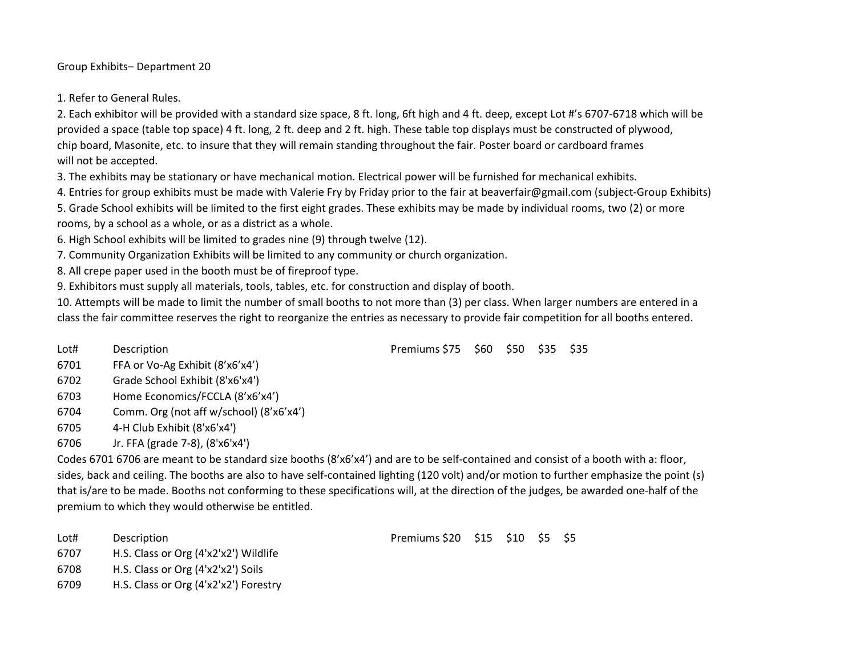Group Exhibits– Department 20

1. Refer to General Rules.

2. Each exhibitor will be provided with a standard size space, 8 ft. long, 6ft high and 4 ft. deep, except Lot #'s 6707-6718 which will be provided a space (table top space) 4 ft. long, 2 ft. deep and 2 ft. high. These table top displays must be constructed of plywood, chip board, Masonite, etc. to insure that they will remain standing throughout the fair. Poster board or cardboard frames will not be accepted.

3. The exhibits may be stationary or have mechanical motion. Electrical power will be furnished for mechanical exhibits.

4. Entries for group exhibits must be made with Valerie Fry by Friday prior to the fair at beaverfair@gmail.com (subject-Group Exhibits)

5. Grade School exhibits will be limited to the first eight grades. These exhibits may be made by individual rooms, two (2) or more rooms, by a school as a whole, or as a district as a whole.

6. High School exhibits will be limited to grades nine (9) through twelve (12).

7. Community Organization Exhibits will be limited to any community or church organization.

8. All crepe paper used in the booth must be of fireproof type.

9. Exhibitors must supply all materials, tools, tables, etc. for construction and display of booth.

10. Attempts will be made to limit the number of small booths to not more than (3) per class. When larger numbers are entered in a class the fair committee reserves the right to reorganize the entries as necessary to provide fair competition for all booths entered.

Lot# Description **Premiums \$75 \$60 \$50 \$35 \$35** 

6701 FFA or Vo-Ag Exhibit (8'x6'x4')

6702 Grade School Exhibit (8'x6'x4')

6703 Home Economics/FCCLA (8'x6'x4')

6704 Comm. Org (not aff w/school) (8'x6'x4')

6705 4-H Club Exhibit (8'x6'x4')

6706 Jr. FFA (grade 7-8), (8'x6'x4')

Codes 6701 6706 are meant to be standard size booths (8'x6'x4') and are to be self-contained and consist of a booth with a: floor, sides, back and ceiling. The booths are also to have self-contained lighting (120 volt) and/or motion to further emphasize the point (s) that is/are to be made. Booths not conforming to these specifications will, at the direction of the judges, be awarded one-half of the premium to which they would otherwise be entitled.

6707 H.S. Class or Org (4'x2'x2') Wildlife

6708 H.S. Class or Org (4'x2'x2') Soils

6709 H.S. Class or Org (4'x2'x2') Forestry

Lot# Description **Premiums \$20 \$15 \$10 \$5 \$5**